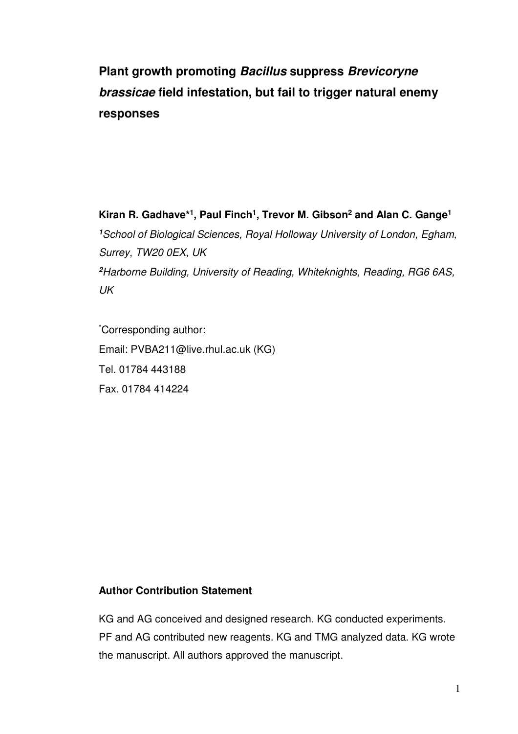# **Plant growth promoting Bacillus suppress Brevicoryne brassicae field infestation, but fail to trigger natural enemy responses**

**Kiran R. Gadhave\*<sup>1</sup> , Paul Finch<sup>1</sup> , Trevor M. Gibson<sup>2</sup> and Alan C. Gange<sup>1</sup> <sup>1</sup>**School of Biological Sciences, Royal Holloway University of London, Egham, Surrey, TW20 0EX, UK **<sup>2</sup>**Harborne Building, University of Reading, Whiteknights, Reading, RG6 6AS, UK

\*Corresponding author: Email: PVBA211@live.rhul.ac.uk (KG) Tel. 01784 443188 Fax. 01784 414224

# **Author Contribution Statement**

KG and AG conceived and designed research. KG conducted experiments. PF and AG contributed new reagents. KG and TMG analyzed data. KG wrote the manuscript. All authors approved the manuscript.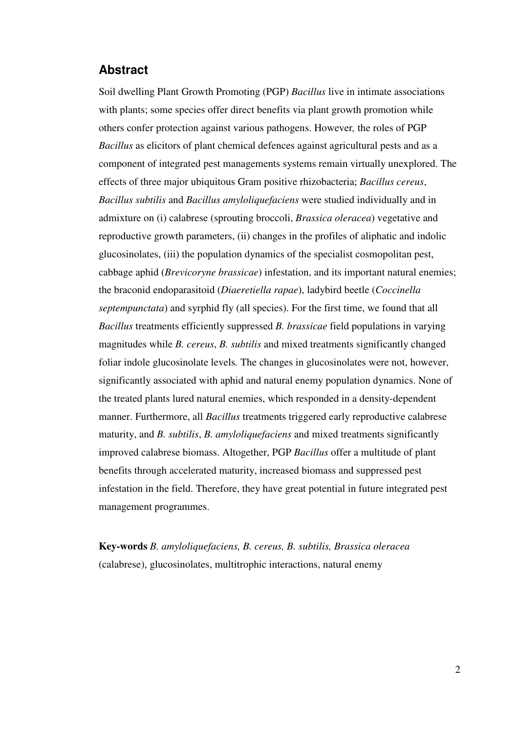# **Abstract**

Soil dwelling Plant Growth Promoting (PGP) *Bacillus* live in intimate associations with plants; some species offer direct benefits via plant growth promotion while others confer protection against various pathogens. However*,* the roles of PGP *Bacillus* as elicitors of plant chemical defences against agricultural pests and as a component of integrated pest managements systems remain virtually unexplored. The effects of three major ubiquitous Gram positive rhizobacteria; *Bacillus cereus*, *Bacillus subtilis* and *Bacillus amyloliquefaciens* were studied individually and in admixture on (i) calabrese (sprouting broccoli, *Brassica oleracea*) vegetative and reproductive growth parameters, (ii) changes in the profiles of aliphatic and indolic glucosinolates, (iii) the population dynamics of the specialist cosmopolitan pest, cabbage aphid (*Brevicoryne brassicae*) infestation, and its important natural enemies; the braconid endoparasitoid (*Diaeretiella rapae*), ladybird beetle (*Coccinella septempunctata*) and syrphid fly (all species). For the first time, we found that all *Bacillus* treatments efficiently suppressed *B. brassicae* field populations in varying magnitudes while *B. cereus*, *B. subtilis* and mixed treatments significantly changed foliar indole glucosinolate levels*.* The changes in glucosinolates were not, however, significantly associated with aphid and natural enemy population dynamics. None of the treated plants lured natural enemies, which responded in a density-dependent manner. Furthermore, all *Bacillus* treatments triggered early reproductive calabrese maturity, and *B. subtilis*, *B. amyloliquefaciens* and mixed treatments significantly improved calabrese biomass. Altogether, PGP *Bacillus* offer a multitude of plant benefits through accelerated maturity, increased biomass and suppressed pest infestation in the field. Therefore, they have great potential in future integrated pest management programmes.

**Key-words** *B. amyloliquefaciens, B. cereus, B. subtilis, Brassica oleracea*  (calabrese), glucosinolates, multitrophic interactions, natural enemy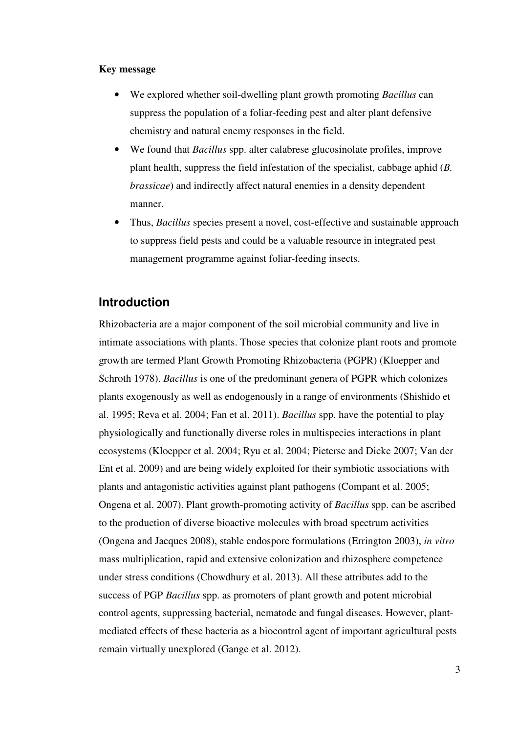#### **Key message**

- We explored whether soil-dwelling plant growth promoting *Bacillus* can suppress the population of a foliar-feeding pest and alter plant defensive chemistry and natural enemy responses in the field.
- We found that *Bacillus* spp. alter calabrese glucosinolate profiles, improve plant health, suppress the field infestation of the specialist, cabbage aphid (*B. brassicae*) and indirectly affect natural enemies in a density dependent manner.
- Thus, *Bacillus* species present a novel, cost-effective and sustainable approach to suppress field pests and could be a valuable resource in integrated pest management programme against foliar-feeding insects.

# **Introduction**

Rhizobacteria are a major component of the soil microbial community and live in intimate associations with plants. Those species that colonize plant roots and promote growth are termed Plant Growth Promoting Rhizobacteria (PGPR) (Kloepper and Schroth 1978). *Bacillus* is one of the predominant genera of PGPR which colonizes plants exogenously as well as endogenously in a range of environments (Shishido et al. 1995; Reva et al. 2004; Fan et al. 2011). *Bacillus* spp. have the potential to play physiologically and functionally diverse roles in multispecies interactions in plant ecosystems (Kloepper et al. 2004; Ryu et al. 2004; Pieterse and Dicke 2007; Van der Ent et al. 2009) and are being widely exploited for their symbiotic associations with plants and antagonistic activities against plant pathogens (Compant et al. 2005; Ongena et al. 2007). Plant growth-promoting activity of *Bacillus* spp. can be ascribed to the production of diverse bioactive molecules with broad spectrum activities (Ongena and Jacques 2008), stable endospore formulations (Errington 2003), *in vitro* mass multiplication, rapid and extensive colonization and rhizosphere competence under stress conditions (Chowdhury et al. 2013). All these attributes add to the success of PGP *Bacillus* spp. as promoters of plant growth and potent microbial control agents, suppressing bacterial, nematode and fungal diseases. However, plantmediated effects of these bacteria as a biocontrol agent of important agricultural pests remain virtually unexplored (Gange et al. 2012).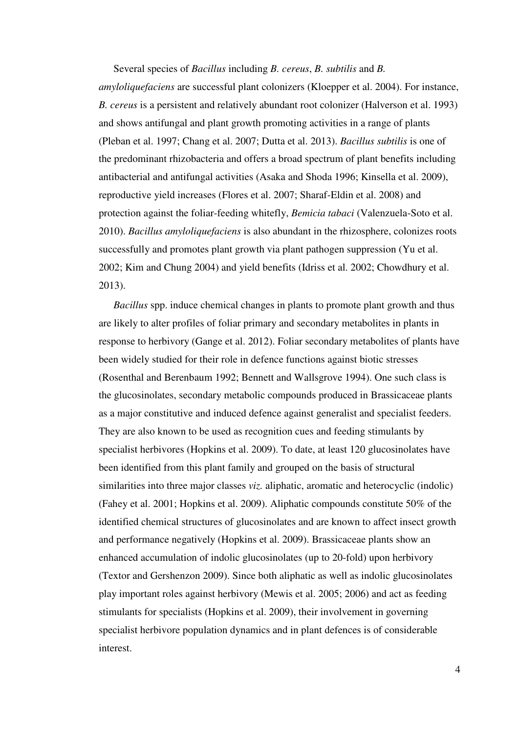Several species of *Bacillus* including *B. cereus*, *B. subtilis* and *B. amyloliquefaciens* are successful plant colonizers (Kloepper et al. 2004). For instance, *B. cereus* is a persistent and relatively abundant root colonizer (Halverson et al. 1993) and shows antifungal and plant growth promoting activities in a range of plants (Pleban et al. 1997; Chang et al. 2007; Dutta et al. 2013). *Bacillus subtilis* is one of the predominant rhizobacteria and offers a broad spectrum of plant benefits including antibacterial and antifungal activities (Asaka and Shoda 1996; Kinsella et al. 2009), reproductive yield increases (Flores et al. 2007; Sharaf-Eldin et al. 2008) and protection against the foliar-feeding whitefly, *Bemicia tabaci* (Valenzuela-Soto et al. 2010). *Bacillus amyloliquefaciens* is also abundant in the rhizosphere, colonizes roots successfully and promotes plant growth via plant pathogen suppression (Yu et al. 2002; Kim and Chung 2004) and yield benefits (Idriss et al. 2002; Chowdhury et al. 2013).

*Bacillus* spp. induce chemical changes in plants to promote plant growth and thus are likely to alter profiles of foliar primary and secondary metabolites in plants in response to herbivory (Gange et al. 2012). Foliar secondary metabolites of plants have been widely studied for their role in defence functions against biotic stresses (Rosenthal and Berenbaum 1992; Bennett and Wallsgrove 1994). One such class is the glucosinolates, secondary metabolic compounds produced in Brassicaceae plants as a major constitutive and induced defence against generalist and specialist feeders. They are also known to be used as recognition cues and feeding stimulants by specialist herbivores (Hopkins et al. 2009). To date, at least 120 glucosinolates have been identified from this plant family and grouped on the basis of structural similarities into three major classes *viz*. aliphatic, aromatic and heterocyclic (indolic) (Fahey et al. 2001; Hopkins et al. 2009). Aliphatic compounds constitute 50% of the identified chemical structures of glucosinolates and are known to affect insect growth and performance negatively (Hopkins et al. 2009). Brassicaceae plants show an enhanced accumulation of indolic glucosinolates (up to 20-fold) upon herbivory (Textor and Gershenzon 2009). Since both aliphatic as well as indolic glucosinolates play important roles against herbivory (Mewis et al. 2005; 2006) and act as feeding stimulants for specialists (Hopkins et al. 2009), their involvement in governing specialist herbivore population dynamics and in plant defences is of considerable interest.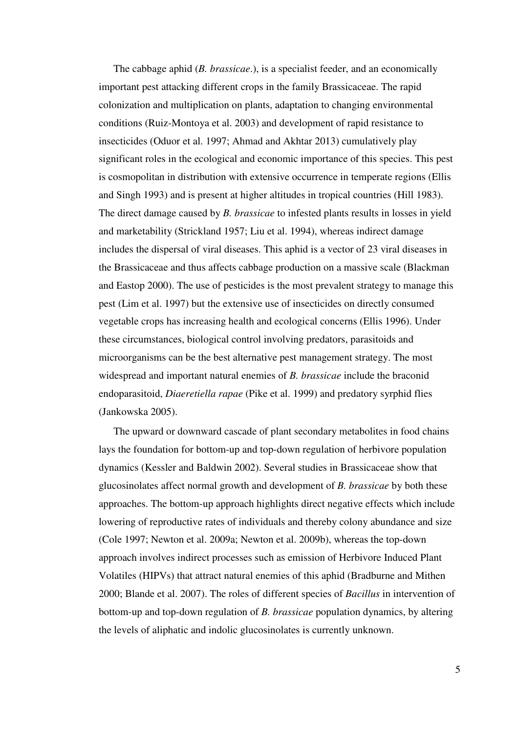The cabbage aphid (*B. brassicae*.), is a specialist feeder, and an economically important pest attacking different crops in the family Brassicaceae. The rapid colonization and multiplication on plants, adaptation to changing environmental conditions (Ruiz-Montoya et al. 2003) and development of rapid resistance to insecticides (Oduor et al. 1997; Ahmad and Akhtar 2013) cumulatively play significant roles in the ecological and economic importance of this species. This pest is cosmopolitan in distribution with extensive occurrence in temperate regions (Ellis and Singh 1993) and is present at higher altitudes in tropical countries (Hill 1983). The direct damage caused by *B. brassicae* to infested plants results in losses in yield and marketability (Strickland 1957; Liu et al. 1994), whereas indirect damage includes the dispersal of viral diseases. This aphid is a vector of 23 viral diseases in the Brassicaceae and thus affects cabbage production on a massive scale (Blackman and Eastop 2000). The use of pesticides is the most prevalent strategy to manage this pest (Lim et al. 1997) but the extensive use of insecticides on directly consumed vegetable crops has increasing health and ecological concerns (Ellis 1996). Under these circumstances, biological control involving predators, parasitoids and microorganisms can be the best alternative pest management strategy. The most widespread and important natural enemies of *B. brassicae* include the braconid endoparasitoid, *Diaeretiella rapae* (Pike et al. 1999) and predatory syrphid flies (Jankowska 2005).

The upward or downward cascade of plant secondary metabolites in food chains lays the foundation for bottom-up and top-down regulation of herbivore population dynamics (Kessler and Baldwin 2002). Several studies in Brassicaceae show that glucosinolates affect normal growth and development of *B. brassicae* by both these approaches. The bottom-up approach highlights direct negative effects which include lowering of reproductive rates of individuals and thereby colony abundance and size (Cole 1997; Newton et al. 2009a; Newton et al. 2009b), whereas the top-down approach involves indirect processes such as emission of Herbivore Induced Plant Volatiles (HIPVs) that attract natural enemies of this aphid (Bradburne and Mithen 2000; Blande et al. 2007). The roles of different species of *Bacillus* in intervention of bottom-up and top-down regulation of *B. brassicae* population dynamics, by altering the levels of aliphatic and indolic glucosinolates is currently unknown.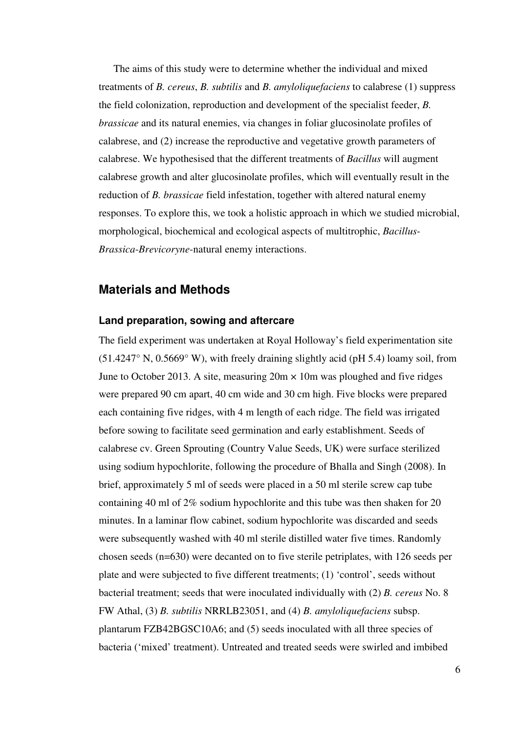The aims of this study were to determine whether the individual and mixed treatments of *B. cereus*, *B. subtilis* and *B. amyloliquefaciens* to calabrese (1) suppress the field colonization, reproduction and development of the specialist feeder, *B. brassicae* and its natural enemies, via changes in foliar glucosinolate profiles of calabrese, and (2) increase the reproductive and vegetative growth parameters of calabrese. We hypothesised that the different treatments of *Bacillus* will augment calabrese growth and alter glucosinolate profiles, which will eventually result in the reduction of *B. brassicae* field infestation, together with altered natural enemy responses. To explore this, we took a holistic approach in which we studied microbial, morphological, biochemical and ecological aspects of multitrophic, *Bacillus*-*Brassica*-*Brevicoryne*-natural enemy interactions.

# **Materials and Methods**

### **Land preparation, sowing and aftercare**

The field experiment was undertaken at Royal Holloway's field experimentation site  $(51.4247\textdegree N, 0.5669\textdegree W)$ , with freely draining slightly acid (pH 5.4) loamy soil, from June to October 2013. A site, measuring  $20m \times 10m$  was ploughed and five ridges were prepared 90 cm apart, 40 cm wide and 30 cm high. Five blocks were prepared each containing five ridges, with 4 m length of each ridge. The field was irrigated before sowing to facilitate seed germination and early establishment. Seeds of calabrese cv. Green Sprouting (Country Value Seeds, UK) were surface sterilized using sodium hypochlorite, following the procedure of Bhalla and Singh (2008). In brief, approximately 5 ml of seeds were placed in a 50 ml sterile screw cap tube containing 40 ml of 2% sodium hypochlorite and this tube was then shaken for 20 minutes. In a laminar flow cabinet, sodium hypochlorite was discarded and seeds were subsequently washed with 40 ml sterile distilled water five times. Randomly chosen seeds (n=630) were decanted on to five sterile petriplates, with 126 seeds per plate and were subjected to five different treatments; (1) 'control', seeds without bacterial treatment; seeds that were inoculated individually with (2) *B. cereus* No. 8 FW Athal, (3) *B. subtilis* NRRLB23051, and (4) *B. amyloliquefaciens* subsp. plantarum FZB42BGSC10A6; and (5) seeds inoculated with all three species of bacteria ('mixed' treatment). Untreated and treated seeds were swirled and imbibed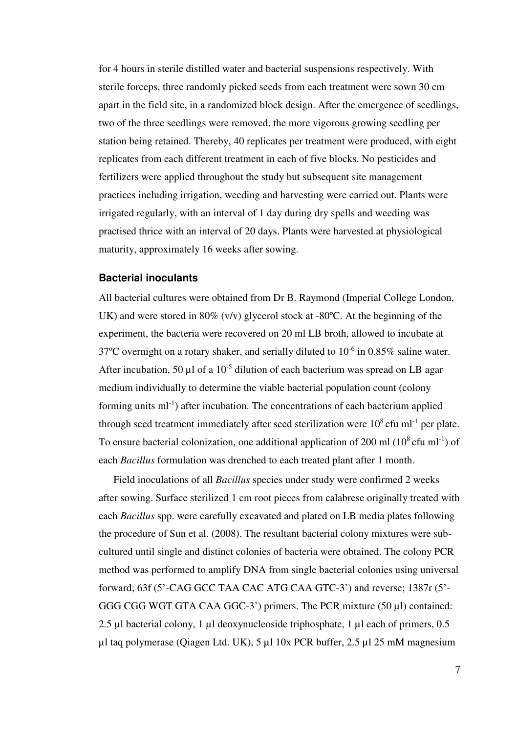for 4 hours in sterile distilled water and bacterial suspensions respectively. With sterile forceps, three randomly picked seeds from each treatment were sown 30 cm apart in the field site, in a randomized block design. After the emergence of seedlings, two of the three seedlings were removed, the more vigorous growing seedling per station being retained. Thereby, 40 replicates per treatment were produced, with eight replicates from each different treatment in each of five blocks. No pesticides and fertilizers were applied throughout the study but subsequent site management practices including irrigation, weeding and harvesting were carried out. Plants were irrigated regularly, with an interval of 1 day during dry spells and weeding was practised thrice with an interval of 20 days. Plants were harvested at physiological maturity, approximately 16 weeks after sowing.

### **Bacterial inoculants**

All bacterial cultures were obtained from Dr B. Raymond (Imperial College London, UK) and were stored in 80% (v/v) glycerol stock at -80°C. At the beginning of the experiment, the bacteria were recovered on 20 ml LB broth, allowed to incubate at 37°C overnight on a rotary shaker, and serially diluted to  $10^{-6}$  in 0.85% saline water. After incubation, 50  $\mu$ l of a 10<sup>-5</sup> dilution of each bacterium was spread on LB agar medium individually to determine the viable bacterial population count (colony forming units  $ml^{-1}$ ) after incubation. The concentrations of each bacterium applied through seed treatment immediately after seed sterilization were  $10^8$  cfu ml<sup>-1</sup> per plate. To ensure bacterial colonization, one additional application of 200 ml  $(10^8 \text{ c}$ fu ml<sup>-1</sup>) of each *Bacillus* formulation was drenched to each treated plant after 1 month.

Field inoculations of all *Bacillus* species under study were confirmed 2 weeks after sowing. Surface sterilized 1 cm root pieces from calabrese originally treated with each *Bacillus* spp. were carefully excavated and plated on LB media plates following the procedure of Sun et al. (2008). The resultant bacterial colony mixtures were subcultured until single and distinct colonies of bacteria were obtained. The colony PCR method was performed to amplify DNA from single bacterial colonies using universal forward; 63f (5'-CAG GCC TAA CAC ATG CAA GTC-3') and reverse; 1387r (5'- GGG CGG WGT GTA CAA GGC-3') primers. The PCR mixture (50 µl) contained: 2.5 µl bacterial colony, 1 µl deoxynucleoside triphosphate, 1 µl each of primers, 0.5 µl taq polymerase (Qiagen Ltd. UK), 5 µl 10x PCR buffer, 2.5 µl 25 mM magnesium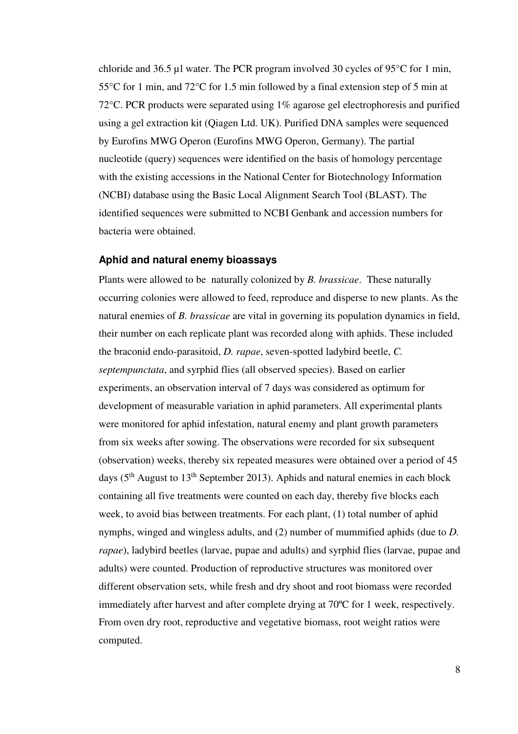chloride and 36.5 µl water. The PCR program involved 30 cycles of 95°C for 1 min, 55°C for 1 min, and 72°C for 1.5 min followed by a final extension step of 5 min at 72°C. PCR products were separated using 1% agarose gel electrophoresis and purified using a gel extraction kit (Qiagen Ltd. UK). Purified DNA samples were sequenced by Eurofins MWG Operon (Eurofins MWG Operon, Germany). The partial nucleotide (query) sequences were identified on the basis of homology percentage with the existing accessions in the National Center for Biotechnology Information (NCBI) database using the Basic Local Alignment Search Tool (BLAST). The identified sequences were submitted to NCBI Genbank and accession numbers for bacteria were obtained.

#### **Aphid and natural enemy bioassays**

Plants were allowed to be naturally colonized by *B. brassicae*. These naturally occurring colonies were allowed to feed, reproduce and disperse to new plants. As the natural enemies of *B. brassicae* are vital in governing its population dynamics in field, their number on each replicate plant was recorded along with aphids. These included the braconid endo-parasitoid, *D. rapae*, seven-spotted ladybird beetle, *C. septempunctata*, and syrphid flies (all observed species). Based on earlier experiments, an observation interval of 7 days was considered as optimum for development of measurable variation in aphid parameters. All experimental plants were monitored for aphid infestation, natural enemy and plant growth parameters from six weeks after sowing. The observations were recorded for six subsequent (observation) weeks, thereby six repeated measures were obtained over a period of 45 days ( $5<sup>th</sup>$  August to  $13<sup>th</sup>$  September 2013). Aphids and natural enemies in each block containing all five treatments were counted on each day, thereby five blocks each week, to avoid bias between treatments. For each plant, (1) total number of aphid nymphs, winged and wingless adults, and (2) number of mummified aphids (due to *D. rapae*), ladybird beetles (larvae, pupae and adults) and syrphid flies (larvae, pupae and adults) were counted. Production of reproductive structures was monitored over different observation sets, while fresh and dry shoot and root biomass were recorded immediately after harvest and after complete drying at 70ºC for 1 week, respectively. From oven dry root, reproductive and vegetative biomass, root weight ratios were computed.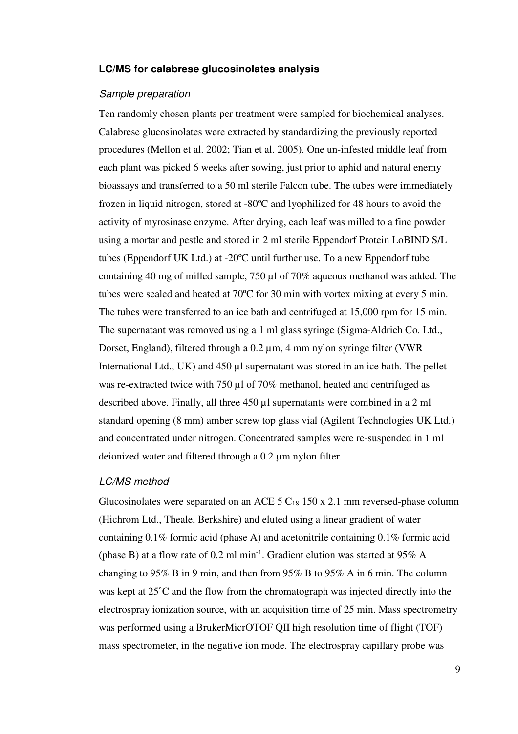# **LC/MS for calabrese glucosinolates analysis**

### Sample preparation

Ten randomly chosen plants per treatment were sampled for biochemical analyses. Calabrese glucosinolates were extracted by standardizing the previously reported procedures (Mellon et al. 2002; Tian et al. 2005). One un-infested middle leaf from each plant was picked 6 weeks after sowing, just prior to aphid and natural enemy bioassays and transferred to a 50 ml sterile Falcon tube. The tubes were immediately frozen in liquid nitrogen, stored at -80ºC and lyophilized for 48 hours to avoid the activity of myrosinase enzyme. After drying, each leaf was milled to a fine powder using a mortar and pestle and stored in 2 ml sterile Eppendorf Protein LoBIND S/L tubes (Eppendorf UK Ltd.) at -20ºC until further use. To a new Eppendorf tube containing 40 mg of milled sample, 750 µl of 70% aqueous methanol was added. The tubes were sealed and heated at 70ºC for 30 min with vortex mixing at every 5 min. The tubes were transferred to an ice bath and centrifuged at 15,000 rpm for 15 min. The supernatant was removed using a 1 ml glass syringe (Sigma-Aldrich Co. Ltd., Dorset, England), filtered through a 0.2 µm, 4 mm nylon syringe filter (VWR International Ltd., UK) and 450 µl supernatant was stored in an ice bath. The pellet was re-extracted twice with 750 µl of 70% methanol, heated and centrifuged as described above. Finally, all three 450 µl supernatants were combined in a 2 ml standard opening (8 mm) amber screw top glass vial (Agilent Technologies UK Ltd.) and concentrated under nitrogen. Concentrated samples were re-suspended in 1 ml deionized water and filtered through a 0.2 µm nylon filter.

#### LC/MS method

Glucosinolates were separated on an ACE  $5 C_{18} 150 x 2.1$  mm reversed-phase column (Hichrom Ltd., Theale, Berkshire) and eluted using a linear gradient of water containing 0.1% formic acid (phase A) and acetonitrile containing 0.1% formic acid (phase B) at a flow rate of 0.2 ml min<sup>-1</sup>. Gradient elution was started at 95% A changing to 95% B in 9 min, and then from 95% B to 95% A in 6 min. The column was kept at 25˚C and the flow from the chromatograph was injected directly into the electrospray ionization source, with an acquisition time of 25 min. Mass spectrometry was performed using a BrukerMicrOTOF QII high resolution time of flight (TOF) mass spectrometer, in the negative ion mode. The electrospray capillary probe was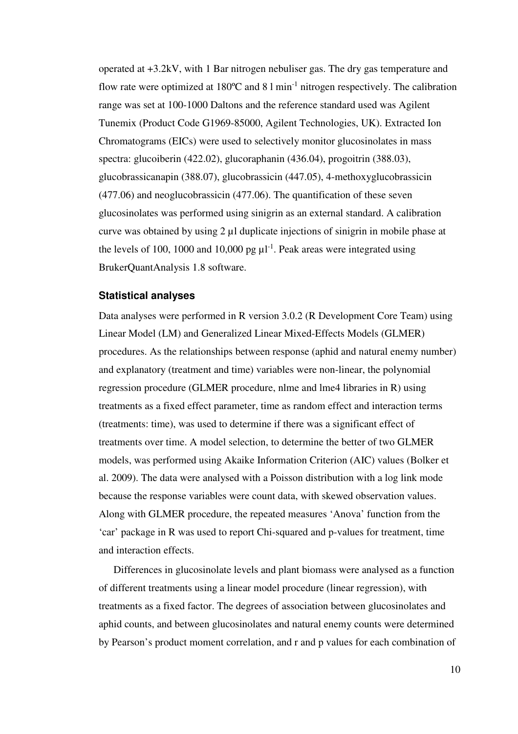operated at +3.2kV, with 1 Bar nitrogen nebuliser gas. The dry gas temperature and flow rate were optimized at  $180^{\circ}$ C and  $81 \text{ min}^{-1}$  nitrogen respectively. The calibration range was set at 100-1000 Daltons and the reference standard used was Agilent Tunemix (Product Code G1969-85000, Agilent Technologies, UK). Extracted Ion Chromatograms (EICs) were used to selectively monitor glucosinolates in mass spectra: glucoiberin (422.02), glucoraphanin (436.04), progoitrin (388.03), glucobrassicanapin (388.07), glucobrassicin (447.05), 4-methoxyglucobrassicin (477.06) and neoglucobrassicin (477.06). The quantification of these seven glucosinolates was performed using sinigrin as an external standard. A calibration curve was obtained by using 2 µl duplicate injections of sinigrin in mobile phase at the levels of 100, 1000 and 10,000 pg  $\mu$ <sup>1</sup>. Peak areas were integrated using BrukerQuantAnalysis 1.8 software.

#### **Statistical analyses**

Data analyses were performed in R version 3.0.2 (R Development Core Team) using Linear Model (LM) and Generalized Linear Mixed-Effects Models (GLMER) procedures. As the relationships between response (aphid and natural enemy number) and explanatory (treatment and time) variables were non-linear, the polynomial regression procedure (GLMER procedure, nlme and lme4 libraries in R) using treatments as a fixed effect parameter, time as random effect and interaction terms (treatments: time), was used to determine if there was a significant effect of treatments over time. A model selection, to determine the better of two GLMER models, was performed using Akaike Information Criterion (AIC) values (Bolker et al. 2009). The data were analysed with a Poisson distribution with a log link mode because the response variables were count data, with skewed observation values. Along with GLMER procedure, the repeated measures 'Anova' function from the 'car' package in R was used to report Chi-squared and p-values for treatment, time and interaction effects.

Differences in glucosinolate levels and plant biomass were analysed as a function of different treatments using a linear model procedure (linear regression), with treatments as a fixed factor. The degrees of association between glucosinolates and aphid counts, and between glucosinolates and natural enemy counts were determined by Pearson's product moment correlation, and r and p values for each combination of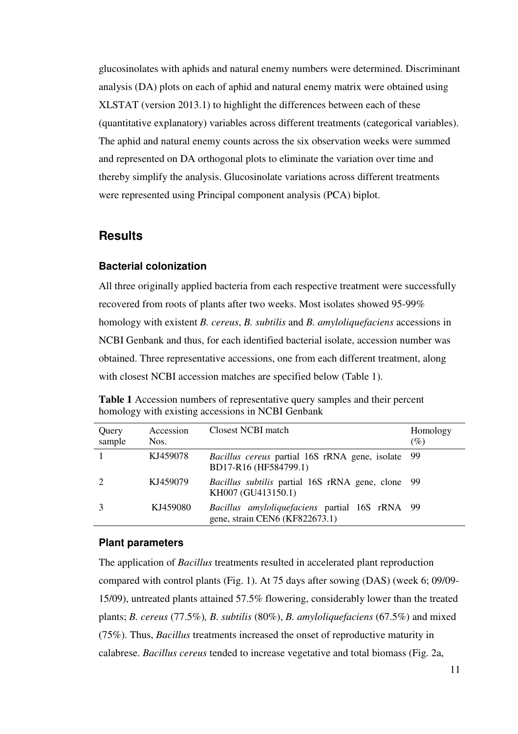glucosinolates with aphids and natural enemy numbers were determined. Discriminant analysis (DA) plots on each of aphid and natural enemy matrix were obtained using XLSTAT (version 2013.1) to highlight the differences between each of these (quantitative explanatory) variables across different treatments (categorical variables). The aphid and natural enemy counts across the six observation weeks were summed and represented on DA orthogonal plots to eliminate the variation over time and thereby simplify the analysis. Glucosinolate variations across different treatments were represented using Principal component analysis (PCA) biplot.

# **Results**

### **Bacterial colonization**

All three originally applied bacteria from each respective treatment were successfully recovered from roots of plants after two weeks. Most isolates showed 95-99% homology with existent *B. cereus*, *B. subtilis* and *B. amyloliquefaciens* accessions in NCBI Genbank and thus, for each identified bacterial isolate, accession number was obtained. Three representative accessions, one from each different treatment, along with closest NCBI accession matches are specified below (Table 1).

| Query<br>sample | Accession<br>Nos. | Closest NCBI match                                                                      | Homology<br>$(\%)$ |
|-----------------|-------------------|-----------------------------------------------------------------------------------------|--------------------|
|                 | KJ459078          | Bacillus cereus partial 16S rRNA gene, isolate 99<br>BD17-R16 (HF584799.1)              |                    |
|                 | KJ459079          | Bacillus subtilis partial 16S rRNA gene, clone 99<br>KH007 (GU413150.1)                 |                    |
|                 | KJ459080          | <i>Bacillus amyloliquefaciens</i> partial 16S rRNA 99<br>gene, strain CEN6 (KF822673.1) |                    |

**Table 1** Accession numbers of representative query samples and their percent homology with existing accessions in NCBI Genbank

#### **Plant parameters**

The application of *Bacillus* treatments resulted in accelerated plant reproduction compared with control plants (Fig. 1). At 75 days after sowing (DAS) (week 6; 09/09- 15/09), untreated plants attained 57.5% flowering, considerably lower than the treated plants; *B. cereus* (77.5%)*, B. subtilis* (80%), *B. amyloliquefaciens* (67.5%) and mixed (75%). Thus, *Bacillus* treatments increased the onset of reproductive maturity in calabrese. *Bacillus cereus* tended to increase vegetative and total biomass (Fig. 2a,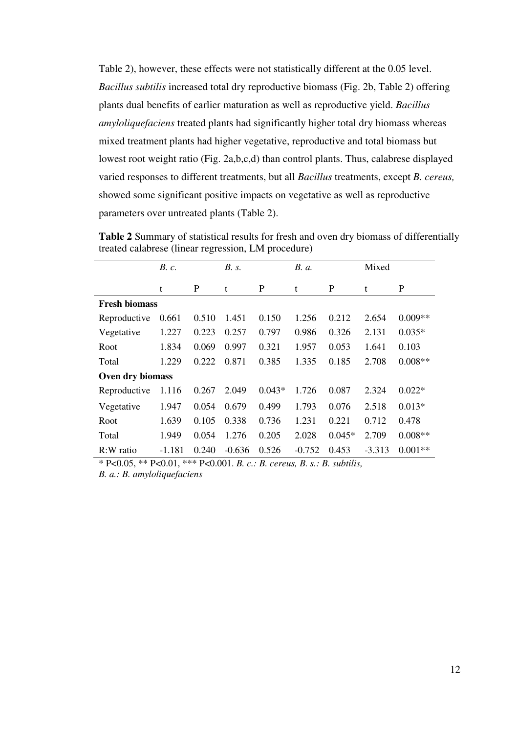Table 2), however, these effects were not statistically different at the 0.05 level. *Bacillus subtilis* increased total dry reproductive biomass (Fig. 2b, Table 2) offering plants dual benefits of earlier maturation as well as reproductive yield. *Bacillus amyloliquefaciens* treated plants had significantly higher total dry biomass whereas mixed treatment plants had higher vegetative, reproductive and total biomass but lowest root weight ratio (Fig. 2a,b,c,d) than control plants. Thus, calabrese displayed varied responses to different treatments, but all *Bacillus* treatments, except *B. cereus,* showed some significant positive impacts on vegetative as well as reproductive parameters over untreated plants (Table 2).

|                      | B. c.    |       | B. s.    |          | <i>B.a.</i> |          | Mixed    |           |
|----------------------|----------|-------|----------|----------|-------------|----------|----------|-----------|
|                      | t        | P     | t        | P        | t           | P        | t        | P         |
| <b>Fresh biomass</b> |          |       |          |          |             |          |          |           |
| Reproductive         | 0.661    | 0.510 | 1.451    | 0.150    | 1.256       | 0.212    | 2.654    | $0.009**$ |
| Vegetative           | 1.227    | 0.223 | 0.257    | 0.797    | 0.986       | 0.326    | 2.131    | $0.035*$  |
| Root                 | 1.834    | 0.069 | 0.997    | 0.321    | 1.957       | 0.053    | 1.641    | 0.103     |
| Total                | 1.229    | 0.222 | 0.871    | 0.385    | 1.335       | 0.185    | 2.708    | $0.008**$ |
| Oven dry biomass     |          |       |          |          |             |          |          |           |
| Reproductive         | 1.116    | 0.267 | 2.049    | $0.043*$ | 1.726       | 0.087    | 2.324    | $0.022*$  |
| Vegetative           | 1.947    | 0.054 | 0.679    | 0.499    | 1.793       | 0.076    | 2.518    | $0.013*$  |
| Root                 | 1.639    | 0.105 | 0.338    | 0.736    | 1.231       | 0.221    | 0.712    | 0.478     |
| Total                | 1.949    | 0.054 | 1.276    | 0.205    | 2.028       | $0.045*$ | 2.709    | $0.008**$ |
| R:W ratio            | $-1.181$ | 0.240 | $-0.636$ | 0.526    | $-0.752$    | 0.453    | $-3.313$ | $0.001**$ |

**Table 2** Summary of statistical results for fresh and oven dry biomass of differentially treated calabrese (linear regression, LM procedure)

\* P<0.05, \*\* P<0.01, \*\*\* P<0.001. *B. c.: B. cereus, B. s.: B. subtilis,* 

*B. a.: B. amyloliquefaciens*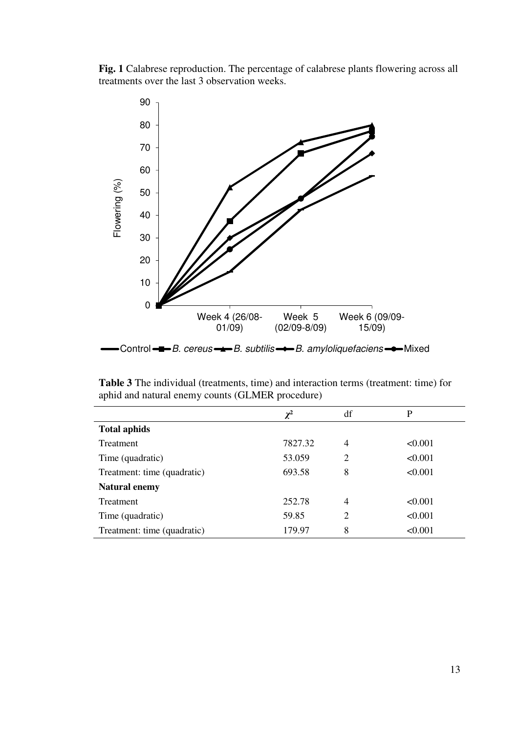**Fig. 1** Calabrese reproduction. The percentage of calabrese plants flowering across all treatments over the last 3 observation weeks.



**Table 3** The individual (treatments, time) and interaction terms (treatment: time) for aphid and natural enemy counts (GLMER procedure)

|                             | $\chi^2$ | df             | P       |
|-----------------------------|----------|----------------|---------|
| <b>Total aphids</b>         |          |                |         |
| Treatment                   | 7827.32  | $\overline{4}$ | < 0.001 |
| Time (quadratic)            | 53.059   | 2              | < 0.001 |
| Treatment: time (quadratic) | 693.58   | 8              | < 0.001 |
| <b>Natural enemy</b>        |          |                |         |
| Treatment                   | 252.78   | $\overline{4}$ | < 0.001 |
| Time (quadratic)            | 59.85    | $\overline{2}$ | < 0.001 |
| Treatment: time (quadratic) | 179.97   | 8              | < 0.001 |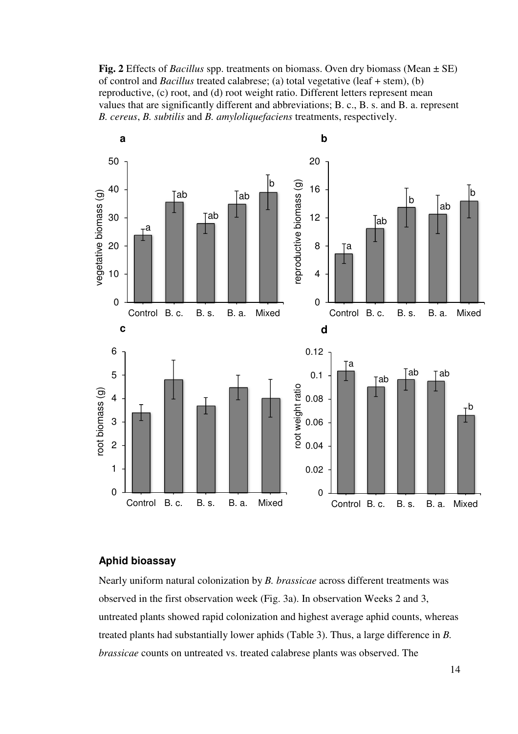**Fig. 2** Effects of *Bacillus* spp. treatments on biomass. Oven dry biomass (Mean ± SE) of control and *Bacillus* treated calabrese; (a) total vegetative (leaf + stem), (b) reproductive, (c) root, and (d) root weight ratio. Different letters represent mean values that are significantly different and abbreviations; B. c., B. s. and B. a. represent *B. cereus*, *B. subtilis* and *B. amyloliquefaciens* treatments, respectively.



# **Aphid bioassay**

Nearly uniform natural colonization by *B. brassicae* across different treatments was observed in the first observation week (Fig. 3a). In observation Weeks 2 and 3, untreated plants showed rapid colonization and highest average aphid counts, whereas treated plants had substantially lower aphids (Table 3). Thus, a large difference in *B. brassicae* counts on untreated vs. treated calabrese plants was observed. The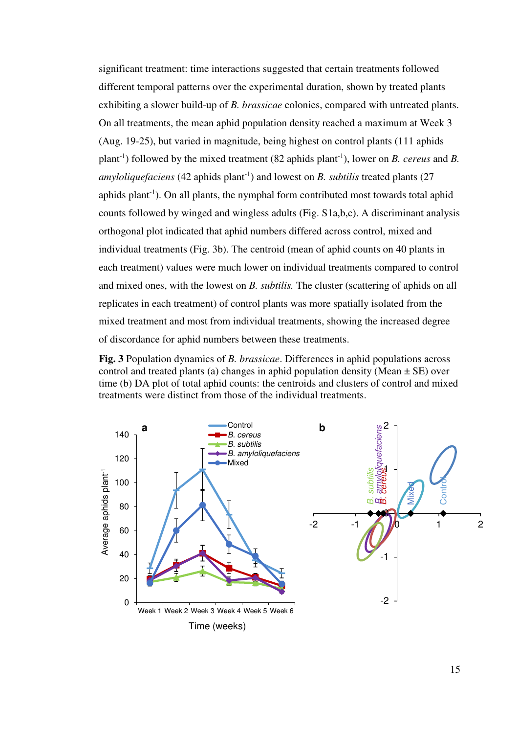significant treatment: time interactions suggested that certain treatments followed different temporal patterns over the experimental duration, shown by treated plants exhibiting a slower build-up of *B. brassicae* colonies, compared with untreated plants. On all treatments, the mean aphid population density reached a maximum at Week 3 (Aug. 19-25), but varied in magnitude, being highest on control plants (111 aphids plant-1) followed by the mixed treatment (82 aphids plant-1), lower on *B. cereus* and *B. amyloliquefaciens* (42 aphids plant<sup>-1</sup>) and lowest on *B*. *subtilis* treated plants (27 aphids plant<sup>-1</sup>). On all plants, the nymphal form contributed most towards total aphid counts followed by winged and wingless adults (Fig. S1a,b,c). A discriminant analysis orthogonal plot indicated that aphid numbers differed across control, mixed and individual treatments (Fig. 3b). The centroid (mean of aphid counts on 40 plants in each treatment) values were much lower on individual treatments compared to control and mixed ones, with the lowest on *B. subtilis.* The cluster (scattering of aphids on all replicates in each treatment) of control plants was more spatially isolated from the mixed treatment and most from individual treatments, showing the increased degree of discordance for aphid numbers between these treatments.

**Fig. 3** Population dynamics of *B. brassicae*. Differences in aphid populations across control and treated plants (a) changes in aphid population density (Mean  $\pm$  SE) over time (b) DA plot of total aphid counts: the centroids and clusters of control and mixed treatments were distinct from those of the individual treatments.

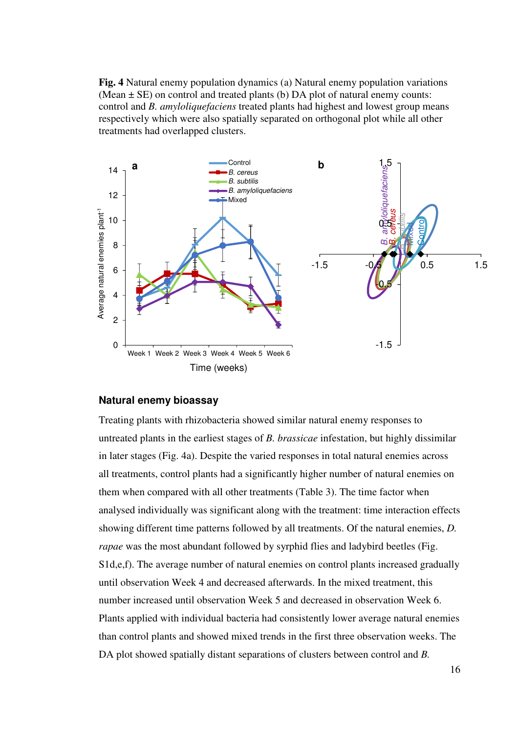**Fig. 4** Natural enemy population dynamics (a) Natural enemy population variations (Mean  $\pm$  SE) on control and treated plants (b) DA plot of natural enemy counts: control and *B. amyloliquefaciens* treated plants had highest and lowest group means respectively which were also spatially separated on orthogonal plot while all other treatments had overlapped clusters.



#### **Natural enemy bioassay**

Treating plants with rhizobacteria showed similar natural enemy responses to untreated plants in the earliest stages of *B. brassicae* infestation, but highly dissimilar in later stages (Fig. 4a). Despite the varied responses in total natural enemies across all treatments, control plants had a significantly higher number of natural enemies on them when compared with all other treatments (Table 3). The time factor when analysed individually was significant along with the treatment: time interaction effects showing different time patterns followed by all treatments. Of the natural enemies, *D. rapae* was the most abundant followed by syrphid flies and ladybird beetles (Fig. S1d,e,f). The average number of natural enemies on control plants increased gradually until observation Week 4 and decreased afterwards. In the mixed treatment, this number increased until observation Week 5 and decreased in observation Week 6. Plants applied with individual bacteria had consistently lower average natural enemies than control plants and showed mixed trends in the first three observation weeks. The DA plot showed spatially distant separations of clusters between control and *B.*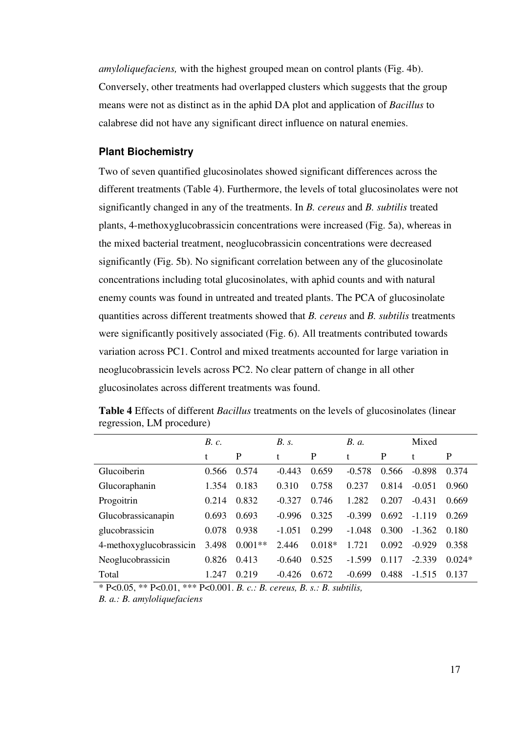*amyloliquefaciens,* with the highest grouped mean on control plants (Fig. 4b). Conversely, other treatments had overlapped clusters which suggests that the group means were not as distinct as in the aphid DA plot and application of *Bacillus* to calabrese did not have any significant direct influence on natural enemies.

### **Plant Biochemistry**

Two of seven quantified glucosinolates showed significant differences across the different treatments (Table 4). Furthermore, the levels of total glucosinolates were not significantly changed in any of the treatments. In *B. cereus* and *B. subtilis* treated plants, 4-methoxyglucobrassicin concentrations were increased (Fig. 5a), whereas in the mixed bacterial treatment, neoglucobrassicin concentrations were decreased significantly (Fig. 5b). No significant correlation between any of the glucosinolate concentrations including total glucosinolates, with aphid counts and with natural enemy counts was found in untreated and treated plants. The PCA of glucosinolate quantities across different treatments showed that *B. cereus* and *B. subtilis* treatments were significantly positively associated (Fig. 6). All treatments contributed towards variation across PC1. Control and mixed treatments accounted for large variation in neoglucobrassicin levels across PC2. No clear pattern of change in all other glucosinolates across different treatments was found.

|                         | B. c. |           | B. s.    |          | <i>B. a.</i> |       | Mixed    |          |
|-------------------------|-------|-----------|----------|----------|--------------|-------|----------|----------|
|                         | t     | P         | t        | P        | t            | P     | t        | P        |
| Glucoiberin             | 0.566 | 0.574     | $-0.443$ | 0.659    | $-0.578$     | 0.566 | $-0.898$ | 0.374    |
| Glucoraphanin           | 1.354 | 0.183     | 0.310    | 0.758    | 0.237        | 0.814 | $-0.051$ | 0.960    |
| Progoitrin              | 0.214 | 0.832     | $-0.327$ | 0.746    | 1.282        | 0.207 | $-0.431$ | 0.669    |
| Glucobrassicanapin      | 0.693 | 0.693     | $-0.996$ | 0.325    | $-0.399$     | 0.692 | $-1.119$ | 0.269    |
| glucobrassicin          | 0.078 | 0.938     | $-1.051$ | 0.299    | $-1.048$     | 0.300 | $-1.362$ | 0.180    |
| 4-methoxyglucobrassicin | 3.498 | $0.001**$ | 2.446    | $0.018*$ | 1 7 2 1      | 0.092 | $-0.929$ | 0.358    |
| Neoglucobrassicin       | 0.826 | 0.413     | $-0.640$ | 0.525    | $-1.599$     | 0.117 | $-2.339$ | $0.024*$ |
| Total                   | 1.247 | 0.219     | $-0.426$ | 0.672    | $-0.699$     | 0.488 | $-1.515$ | 0.137    |

**Table 4** Effects of different *Bacillus* treatments on the levels of glucosinolates (linear regression, LM procedure)

\* P<0.05, \*\* P<0.01, \*\*\* P<0.001. *B. c.: B. cereus, B. s.: B. subtilis,* 

*B. a.: B. amyloliquefaciens*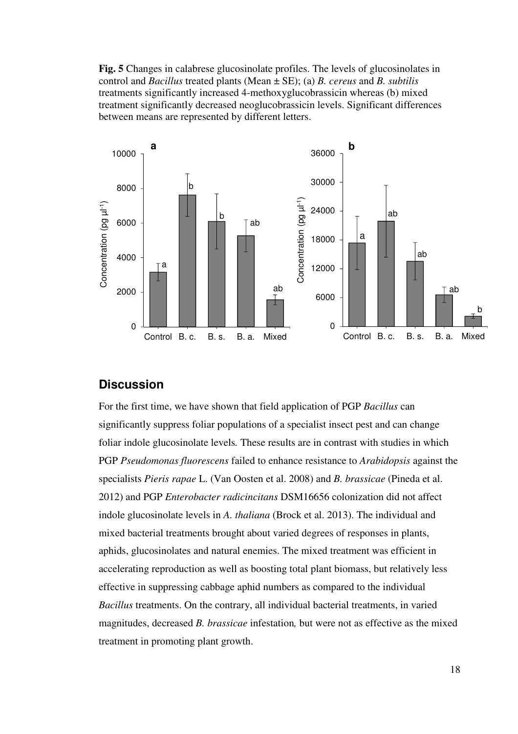**Fig. 5** Changes in calabrese glucosinolate profiles. The levels of glucosinolates in control and *Bacillus* treated plants (Mean ± SE); (a) *B. cereus* and *B. subtilis* treatments significantly increased 4-methoxyglucobrassicin whereas (b) mixed treatment significantly decreased neoglucobrassicin levels. Significant differences between means are represented by different letters.



# **Discussion**

For the first time, we have shown that field application of PGP *Bacillus* can significantly suppress foliar populations of a specialist insect pest and can change foliar indole glucosinolate levels*.* These results are in contrast with studies in which PGP *Pseudomonas fluorescens* failed to enhance resistance to *Arabidopsis* against the specialists *Pieris rapae* L. (Van Oosten et al. 2008) and *B. brassicae* (Pineda et al. 2012) and PGP *Enterobacter radicincitans* DSM16656 colonization did not affect indole glucosinolate levels in *A. thaliana* (Brock et al. 2013). The individual and mixed bacterial treatments brought about varied degrees of responses in plants, aphids, glucosinolates and natural enemies. The mixed treatment was efficient in accelerating reproduction as well as boosting total plant biomass, but relatively less effective in suppressing cabbage aphid numbers as compared to the individual *Bacillus* treatments. On the contrary, all individual bacterial treatments, in varied magnitudes, decreased *B. brassicae* infestation*,* but were not as effective as the mixed treatment in promoting plant growth.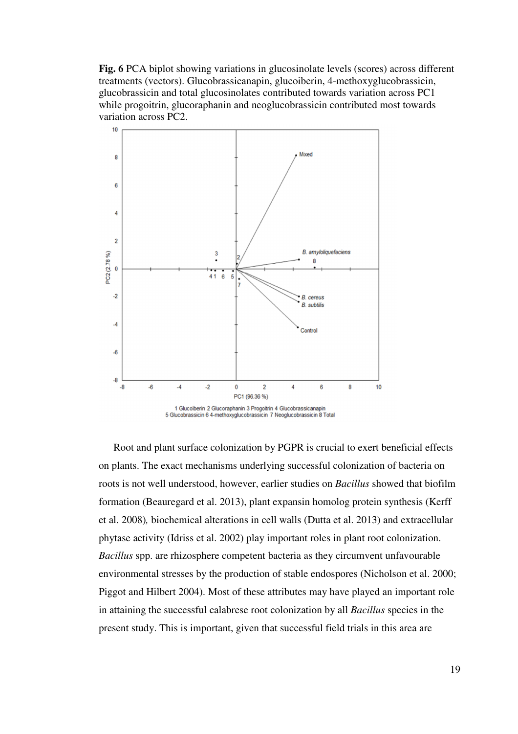**Fig. 6** PCA biplot showing variations in glucosinolate levels (scores) across different treatments (vectors). Glucobrassicanapin, glucoiberin, 4-methoxyglucobrassicin, glucobrassicin and total glucosinolates contributed towards variation across PC1 while progoitrin, glucoraphanin and neoglucobrassicin contributed most towards variation across PC2.



Root and plant surface colonization by PGPR is crucial to exert beneficial effects on plants. The exact mechanisms underlying successful colonization of bacteria on roots is not well understood, however, earlier studies on *Bacillus* showed that biofilm formation (Beauregard et al. 2013), plant expansin homolog protein synthesis (Kerff et al. 2008)*,* biochemical alterations in cell walls (Dutta et al. 2013) and extracellular phytase activity (Idriss et al. 2002) play important roles in plant root colonization. *Bacillus* spp. are rhizosphere competent bacteria as they circumvent unfavourable environmental stresses by the production of stable endospores (Nicholson et al. 2000; Piggot and Hilbert 2004). Most of these attributes may have played an important role in attaining the successful calabrese root colonization by all *Bacillus* species in the present study. This is important, given that successful field trials in this area are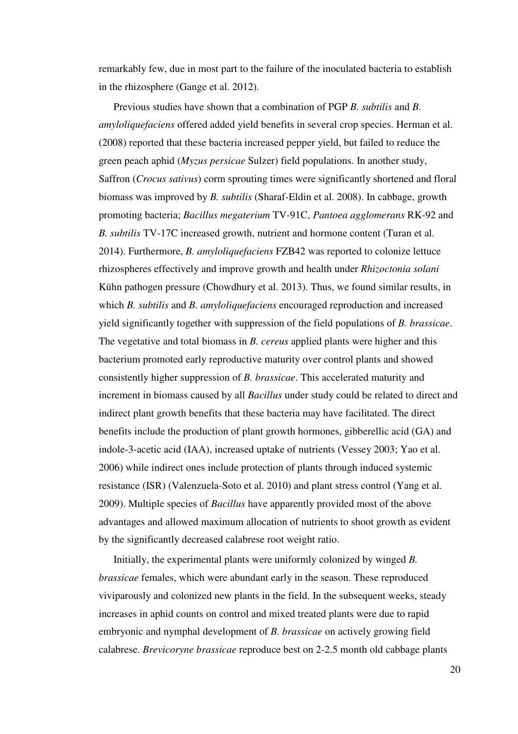remarkably few, due in most part to the failure of the inoculated bacteria to establish in the rhizosphere (Gange et al. 2012).

Previous studies have shown that a combination of PGP *B. subtilis* and *B. amyloliquefaciens* offered added yield benefits in several crop species. Herman et al. (2008) reported that these bacteria increased pepper yield, but failed to reduce the green peach aphid (*Myzus persicae* Sulzer) field populations. In another study, Saffron (*Crocus sativus*) corm sprouting times were significantly shortened and floral biomass was improved by *B. subtilis* (Sharaf-Eldin et al. 2008). In cabbage, growth promoting bacteria; *Bacillus megaterium* TV-91C, *Pantoea agglomerans* RK-92 and *B. subtilis* TV-17C increased growth, nutrient and hormone content (Turan et al. 2014). Furthermore, *B. amyloliquefaciens* FZB42 was reported to colonize lettuce rhizospheres effectively and improve growth and health under *Rhizoctonia solani*  Kühn pathogen pressure (Chowdhury et al. 2013). Thus, we found similar results, in which *B. subtilis* and *B. amyloliquefaciens* encouraged reproduction and increased yield significantly together with suppression of the field populations of *B. brassicae*. The vegetative and total biomass in *B. cereus* applied plants were higher and this bacterium promoted early reproductive maturity over control plants and showed consistently higher suppression of *B. brassicae*. This accelerated maturity and increment in biomass caused by all *Bacillus* under study could be related to direct and indirect plant growth benefits that these bacteria may have facilitated. The direct benefits include the production of plant growth hormones, gibberellic acid (GA) and indole-3-acetic acid (IAA), increased uptake of nutrients (Vessey 2003; Yao et al. 2006) while indirect ones include protection of plants through induced systemic resistance (ISR) (Valenzuela-Soto et al. 2010) and plant stress control (Yang et al. 2009). Multiple species of *Bacillus* have apparently provided most of the above advantages and allowed maximum allocation of nutrients to shoot growth as evident by the significantly decreased calabrese root weight ratio.

Initially, the experimental plants were uniformly colonized by winged *B. brassicae* females, which were abundant early in the season. These reproduced viviparously and colonized new plants in the field. In the subsequent weeks, steady increases in aphid counts on control and mixed treated plants were due to rapid embryonic and nymphal development of *B. brassicae* on actively growing field calabrese. *Brevicoryne brassicae* reproduce best on 2-2.5 month old cabbage plants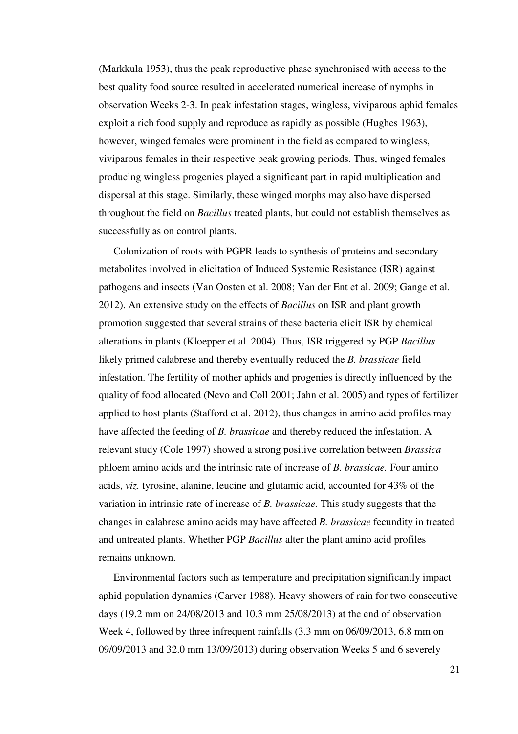(Markkula 1953), thus the peak reproductive phase synchronised with access to the best quality food source resulted in accelerated numerical increase of nymphs in observation Weeks 2-3. In peak infestation stages, wingless, viviparous aphid females exploit a rich food supply and reproduce as rapidly as possible (Hughes 1963), however, winged females were prominent in the field as compared to wingless, viviparous females in their respective peak growing periods. Thus, winged females producing wingless progenies played a significant part in rapid multiplication and dispersal at this stage. Similarly, these winged morphs may also have dispersed throughout the field on *Bacillus* treated plants, but could not establish themselves as successfully as on control plants.

Colonization of roots with PGPR leads to synthesis of proteins and secondary metabolites involved in elicitation of Induced Systemic Resistance (ISR) against pathogens and insects (Van Oosten et al. 2008; Van der Ent et al. 2009; Gange et al. 2012). An extensive study on the effects of *Bacillus* on ISR and plant growth promotion suggested that several strains of these bacteria elicit ISR by chemical alterations in plants (Kloepper et al. 2004). Thus, ISR triggered by PGP *Bacillus* likely primed calabrese and thereby eventually reduced the *B. brassicae* field infestation. The fertility of mother aphids and progenies is directly influenced by the quality of food allocated (Nevo and Coll 2001; Jahn et al. 2005) and types of fertilizer applied to host plants (Stafford et al. 2012), thus changes in amino acid profiles may have affected the feeding of *B. brassicae* and thereby reduced the infestation. A relevant study (Cole 1997) showed a strong positive correlation between *Brassica* phloem amino acids and the intrinsic rate of increase of *B. brassicae.* Four amino acids, *viz.* tyrosine, alanine, leucine and glutamic acid, accounted for 43% of the variation in intrinsic rate of increase of *B. brassicae.* This study suggests that the changes in calabrese amino acids may have affected *B. brassicae* fecundity in treated and untreated plants. Whether PGP *Bacillus* alter the plant amino acid profiles remains unknown.

Environmental factors such as temperature and precipitation significantly impact aphid population dynamics (Carver 1988). Heavy showers of rain for two consecutive days (19.2 mm on 24/08/2013 and 10.3 mm 25/08/2013) at the end of observation Week 4, followed by three infrequent rainfalls (3.3 mm on 06/09/2013, 6.8 mm on 09/09/2013 and 32.0 mm 13/09/2013) during observation Weeks 5 and 6 severely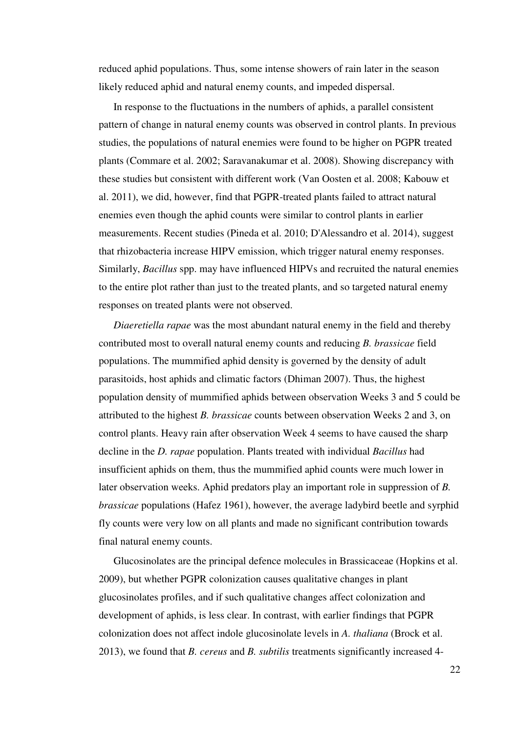reduced aphid populations. Thus, some intense showers of rain later in the season likely reduced aphid and natural enemy counts, and impeded dispersal.

In response to the fluctuations in the numbers of aphids, a parallel consistent pattern of change in natural enemy counts was observed in control plants. In previous studies, the populations of natural enemies were found to be higher on PGPR treated plants (Commare et al. 2002; Saravanakumar et al. 2008). Showing discrepancy with these studies but consistent with different work (Van Oosten et al. 2008; Kabouw et al. 2011), we did, however, find that PGPR-treated plants failed to attract natural enemies even though the aphid counts were similar to control plants in earlier measurements. Recent studies (Pineda et al. 2010; D'Alessandro et al. 2014), suggest that rhizobacteria increase HIPV emission, which trigger natural enemy responses. Similarly, *Bacillus* spp. may have influenced HIPVs and recruited the natural enemies to the entire plot rather than just to the treated plants, and so targeted natural enemy responses on treated plants were not observed.

*Diaeretiella rapae* was the most abundant natural enemy in the field and thereby contributed most to overall natural enemy counts and reducing *B. brassicae* field populations. The mummified aphid density is governed by the density of adult parasitoids, host aphids and climatic factors (Dhiman 2007). Thus, the highest population density of mummified aphids between observation Weeks 3 and 5 could be attributed to the highest *B. brassicae* counts between observation Weeks 2 and 3, on control plants. Heavy rain after observation Week 4 seems to have caused the sharp decline in the *D. rapae* population. Plants treated with individual *Bacillus* had insufficient aphids on them, thus the mummified aphid counts were much lower in later observation weeks. Aphid predators play an important role in suppression of *B. brassicae* populations (Hafez 1961), however, the average ladybird beetle and syrphid fly counts were very low on all plants and made no significant contribution towards final natural enemy counts.

Glucosinolates are the principal defence molecules in Brassicaceae (Hopkins et al. 2009), but whether PGPR colonization causes qualitative changes in plant glucosinolates profiles, and if such qualitative changes affect colonization and development of aphids, is less clear. In contrast, with earlier findings that PGPR colonization does not affect indole glucosinolate levels in *A. thaliana* (Brock et al. 2013), we found that *B. cereus* and *B. subtilis* treatments significantly increased 4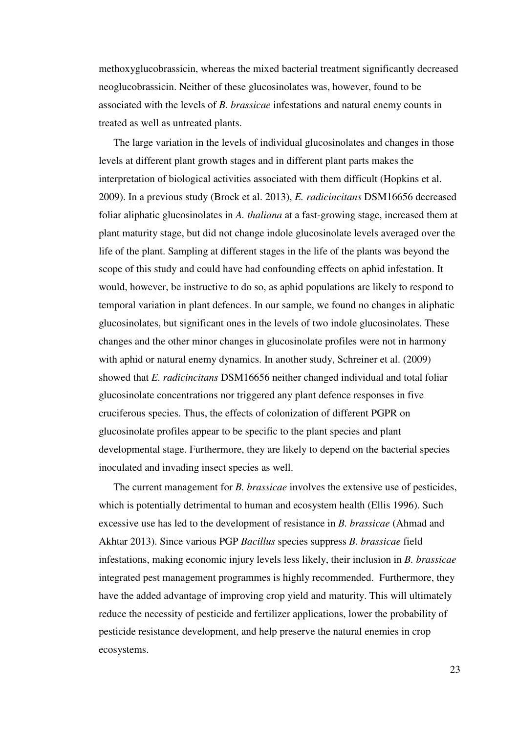methoxyglucobrassicin, whereas the mixed bacterial treatment significantly decreased neoglucobrassicin. Neither of these glucosinolates was, however, found to be associated with the levels of *B. brassicae* infestations and natural enemy counts in treated as well as untreated plants.

The large variation in the levels of individual glucosinolates and changes in those levels at different plant growth stages and in different plant parts makes the interpretation of biological activities associated with them difficult (Hopkins et al. 2009). In a previous study (Brock et al. 2013), *E. radicincitans* DSM16656 decreased foliar aliphatic glucosinolates in *A. thaliana* at a fast-growing stage, increased them at plant maturity stage, but did not change indole glucosinolate levels averaged over the life of the plant. Sampling at different stages in the life of the plants was beyond the scope of this study and could have had confounding effects on aphid infestation. It would, however, be instructive to do so, as aphid populations are likely to respond to temporal variation in plant defences. In our sample, we found no changes in aliphatic glucosinolates, but significant ones in the levels of two indole glucosinolates. These changes and the other minor changes in glucosinolate profiles were not in harmony with aphid or natural enemy dynamics. In another study, Schreiner et al. (2009) showed that *E. radicincitans* DSM16656 neither changed individual and total foliar glucosinolate concentrations nor triggered any plant defence responses in five cruciferous species. Thus, the effects of colonization of different PGPR on glucosinolate profiles appear to be specific to the plant species and plant developmental stage. Furthermore, they are likely to depend on the bacterial species inoculated and invading insect species as well.

The current management for *B. brassicae* involves the extensive use of pesticides, which is potentially detrimental to human and ecosystem health (Ellis 1996). Such excessive use has led to the development of resistance in *B. brassicae* (Ahmad and Akhtar 2013). Since various PGP *Bacillus* species suppress *B. brassicae* field infestations, making economic injury levels less likely, their inclusion in *B. brassicae* integrated pest management programmes is highly recommended. Furthermore, they have the added advantage of improving crop yield and maturity. This will ultimately reduce the necessity of pesticide and fertilizer applications, lower the probability of pesticide resistance development, and help preserve the natural enemies in crop ecosystems.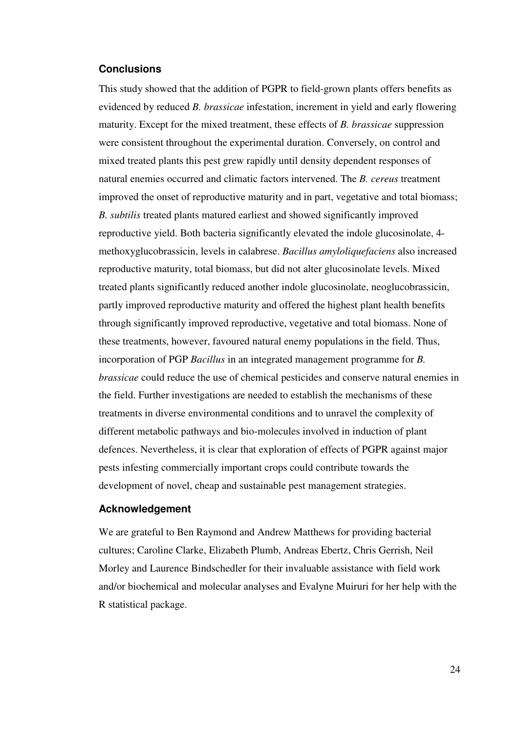#### **Conclusions**

This study showed that the addition of PGPR to field-grown plants offers benefits as evidenced by reduced *B. brassicae* infestation, increment in yield and early flowering maturity. Except for the mixed treatment, these effects of *B. brassicae* suppression were consistent throughout the experimental duration. Conversely, on control and mixed treated plants this pest grew rapidly until density dependent responses of natural enemies occurred and climatic factors intervened. The *B. cereus* treatment improved the onset of reproductive maturity and in part, vegetative and total biomass; *B. subtilis* treated plants matured earliest and showed significantly improved reproductive yield. Both bacteria significantly elevated the indole glucosinolate, 4 methoxyglucobrassicin, levels in calabrese. *Bacillus amyloliquefaciens* also increased reproductive maturity, total biomass, but did not alter glucosinolate levels. Mixed treated plants significantly reduced another indole glucosinolate, neoglucobrassicin, partly improved reproductive maturity and offered the highest plant health benefits through significantly improved reproductive, vegetative and total biomass. None of these treatments, however, favoured natural enemy populations in the field. Thus, incorporation of PGP *Bacillus* in an integrated management programme for *B. brassicae* could reduce the use of chemical pesticides and conserve natural enemies in the field. Further investigations are needed to establish the mechanisms of these treatments in diverse environmental conditions and to unravel the complexity of different metabolic pathways and bio-molecules involved in induction of plant defences. Nevertheless, it is clear that exploration of effects of PGPR against major pests infesting commercially important crops could contribute towards the development of novel, cheap and sustainable pest management strategies.

#### **Acknowledgement**

We are grateful to Ben Raymond and Andrew Matthews for providing bacterial cultures; Caroline Clarke, Elizabeth Plumb, Andreas Ebertz, Chris Gerrish, Neil Morley and Laurence Bindschedler for their invaluable assistance with field work and/or biochemical and molecular analyses and Evalyne Muiruri for her help with the R statistical package.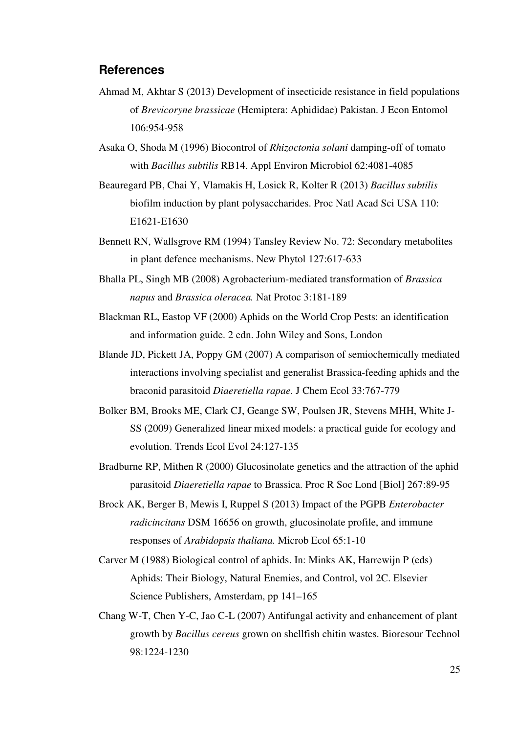# **References**

- Ahmad M, Akhtar S (2013) Development of insecticide resistance in field populations of *Brevicoryne brassicae* (Hemiptera: Aphididae) Pakistan. J Econ Entomol 106:954-958
- Asaka O, Shoda M (1996) Biocontrol of *Rhizoctonia solani* damping-off of tomato with *Bacillus subtilis* RB14. Appl Environ Microbiol 62:4081-4085
- Beauregard PB, Chai Y, Vlamakis H, Losick R, Kolter R (2013) *Bacillus subtilis* biofilm induction by plant polysaccharides. Proc Natl Acad Sci USA 110: E1621-E1630
- Bennett RN, Wallsgrove RM (1994) Tansley Review No. 72: Secondary metabolites in plant defence mechanisms. New Phytol 127:617-633
- Bhalla PL, Singh MB (2008) Agrobacterium-mediated transformation of *Brassica napus* and *Brassica oleracea.* Nat Protoc 3:181-189
- Blackman RL, Eastop VF (2000) Aphids on the World Crop Pests: an identification and information guide. 2 edn. John Wiley and Sons, London
- Blande JD, Pickett JA, Poppy GM (2007) A comparison of semiochemically mediated interactions involving specialist and generalist Brassica-feeding aphids and the braconid parasitoid *Diaeretiella rapae.* J Chem Ecol 33:767-779
- Bolker BM, Brooks ME, Clark CJ, Geange SW, Poulsen JR, Stevens MHH, White J-SS (2009) Generalized linear mixed models: a practical guide for ecology and evolution. Trends Ecol Evol 24:127-135
- Bradburne RP, Mithen R (2000) Glucosinolate genetics and the attraction of the aphid parasitoid *Diaeretiella rapae* to Brassica. Proc R Soc Lond [Biol] 267:89-95
- Brock AK, Berger B, Mewis I, Ruppel S (2013) Impact of the PGPB *Enterobacter radicincitans* DSM 16656 on growth, glucosinolate profile, and immune responses of *Arabidopsis thaliana.* Microb Ecol 65:1-10
- Carver M (1988) Biological control of aphids. In: Minks AK, Harrewijn P (eds) Aphids: Their Biology, Natural Enemies, and Control, vol 2C. Elsevier Science Publishers, Amsterdam, pp 141–165
- Chang W-T, Chen Y-C, Jao C-L (2007) Antifungal activity and enhancement of plant growth by *Bacillus cereus* grown on shellfish chitin wastes. Bioresour Technol 98:1224-1230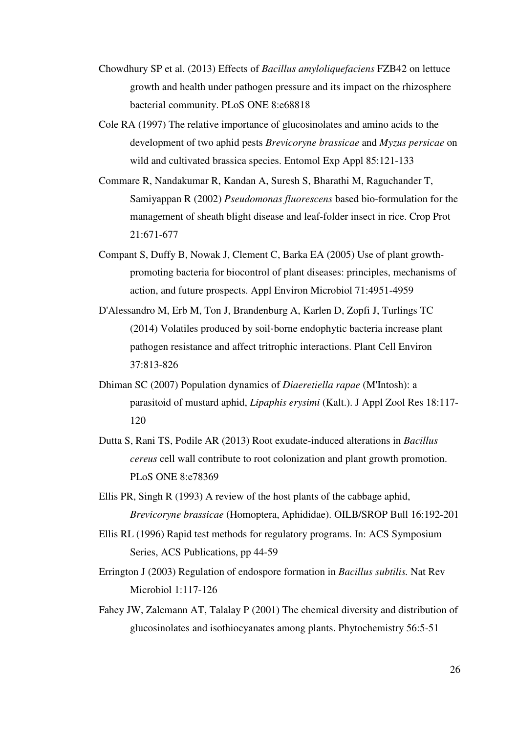- Chowdhury SP et al. (2013) Effects of *Bacillus amyloliquefaciens* FZB42 on lettuce growth and health under pathogen pressure and its impact on the rhizosphere bacterial community. PLoS ONE 8:e68818
- Cole RA (1997) The relative importance of glucosinolates and amino acids to the development of two aphid pests *Brevicoryne brassicae* and *Myzus persicae* on wild and cultivated brassica species. Entomol Exp Appl 85:121-133
- Commare R, Nandakumar R, Kandan A, Suresh S, Bharathi M, Raguchander T, Samiyappan R (2002) *Pseudomonas fluorescens* based bio-formulation for the management of sheath blight disease and leaf-folder insect in rice. Crop Prot 21:671-677
- Compant S, Duffy B, Nowak J, Clement C, Barka EA (2005) Use of plant growthpromoting bacteria for biocontrol of plant diseases: principles, mechanisms of action, and future prospects. Appl Environ Microbiol 71:4951-4959
- D'Alessandro M, Erb M, Ton J, Brandenburg A, Karlen D, Zopfi J, Turlings TC (2014) Volatiles produced by soil‐borne endophytic bacteria increase plant pathogen resistance and affect tritrophic interactions. Plant Cell Environ 37:813-826
- Dhiman SC (2007) Population dynamics of *Diaeretiella rapae* (M'Intosh): a parasitoid of mustard aphid, *Lipaphis erysimi* (Kalt.). J Appl Zool Res 18:117- 120
- Dutta S, Rani TS, Podile AR (2013) Root exudate-induced alterations in *Bacillus cereus* cell wall contribute to root colonization and plant growth promotion. PLoS ONE 8:e78369
- Ellis PR, Singh R (1993) A review of the host plants of the cabbage aphid, *Brevicoryne brassicae* (Homoptera, Aphididae). OILB/SROP Bull 16:192-201
- Ellis RL (1996) Rapid test methods for regulatory programs. In: ACS Symposium Series, ACS Publications, pp 44-59
- Errington J (2003) Regulation of endospore formation in *Bacillus subtilis.* Nat Rev Microbiol 1:117-126
- Fahey JW, Zalcmann AT, Talalay P (2001) The chemical diversity and distribution of glucosinolates and isothiocyanates among plants. Phytochemistry 56:5-51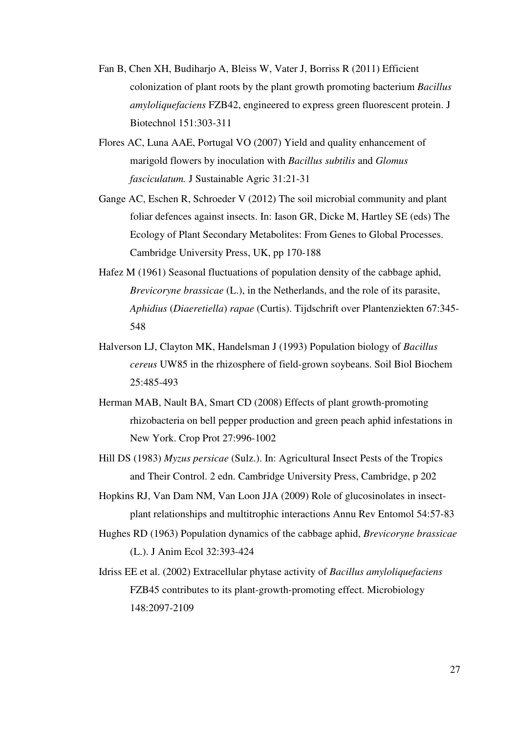- Fan B, Chen XH, Budiharjo A, Bleiss W, Vater J, Borriss R (2011) Efficient colonization of plant roots by the plant growth promoting bacterium *Bacillus amyloliquefaciens* FZB42, engineered to express green fluorescent protein. J Biotechnol 151:303-311
- Flores AC, Luna AAE, Portugal VO (2007) Yield and quality enhancement of marigold flowers by inoculation with *Bacillus subtilis* and *Glomus fasciculatum.* J Sustainable Agric 31:21-31
- Gange AC, Eschen R, Schroeder V (2012) The soil microbial community and plant foliar defences against insects. In: Iason GR, Dicke M, Hartley SE (eds) The Ecology of Plant Secondary Metabolites: From Genes to Global Processes. Cambridge University Press, UK, pp 170-188
- Hafez M (1961) Seasonal fluctuations of population density of the cabbage aphid, *Brevicoryne brassicae* (L.), in the Netherlands, and the role of its parasite, *Aphidius* (*Diaeretiella*) *rapae* (Curtis). Tijdschrift over Plantenziekten 67:345- 548
- Halverson LJ, Clayton MK, Handelsman J (1993) Population biology of *Bacillus cereus* UW85 in the rhizosphere of field-grown soybeans. Soil Biol Biochem 25:485-493
- Herman MAB, Nault BA, Smart CD (2008) Effects of plant growth-promoting rhizobacteria on bell pepper production and green peach aphid infestations in New York. Crop Prot 27:996-1002
- Hill DS (1983) *Myzus persicae* (Sulz.). In: Agricultural Insect Pests of the Tropics and Their Control. 2 edn. Cambridge University Press, Cambridge, p 202
- Hopkins RJ, Van Dam NM, Van Loon JJA (2009) Role of glucosinolates in insectplant relationships and multitrophic interactions Annu Rev Entomol 54:57-83
- Hughes RD (1963) Population dynamics of the cabbage aphid, *Brevicoryne brassicae* (L.). J Anim Ecol 32:393-424
- Idriss EE et al. (2002) Extracellular phytase activity of *Bacillus amyloliquefaciens* FZB45 contributes to its plant-growth-promoting effect. Microbiology 148:2097-2109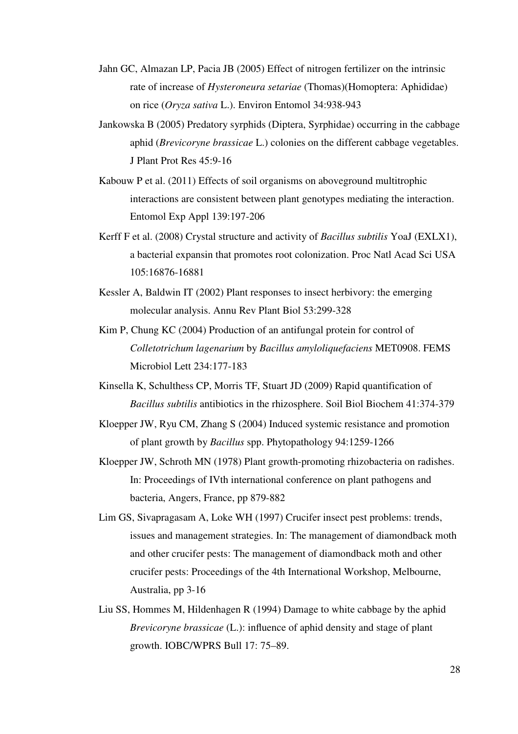- Jahn GC, Almazan LP, Pacia JB (2005) Effect of nitrogen fertilizer on the intrinsic rate of increase of *Hysteroneura setariae* (Thomas)(Homoptera: Aphididae) on rice (*Oryza sativa* L.). Environ Entomol 34:938-943
- Jankowska B (2005) Predatory syrphids (Diptera, Syrphidae) occurring in the cabbage aphid (*Brevicoryne brassicae* L.) colonies on the different cabbage vegetables. J Plant Prot Res 45:9-16
- Kabouw P et al. (2011) Effects of soil organisms on aboveground multitrophic interactions are consistent between plant genotypes mediating the interaction. Entomol Exp Appl 139:197-206
- Kerff F et al. (2008) Crystal structure and activity of *Bacillus subtilis* YoaJ (EXLX1), a bacterial expansin that promotes root colonization. Proc Natl Acad Sci USA 105:16876-16881
- Kessler A, Baldwin IT (2002) Plant responses to insect herbivory: the emerging molecular analysis. Annu Rev Plant Biol 53:299-328
- Kim P, Chung KC (2004) Production of an antifungal protein for control of *Colletotrichum lagenarium* by *Bacillus amyloliquefaciens* MET0908. FEMS Microbiol Lett 234:177-183
- Kinsella K, Schulthess CP, Morris TF, Stuart JD (2009) Rapid quantification of *Bacillus subtilis* antibiotics in the rhizosphere. Soil Biol Biochem 41:374-379
- Kloepper JW, Ryu CM, Zhang S (2004) Induced systemic resistance and promotion of plant growth by *Bacillus* spp. Phytopathology 94:1259-1266
- Kloepper JW, Schroth MN (1978) Plant growth-promoting rhizobacteria on radishes. In: Proceedings of IVth international conference on plant pathogens and bacteria, Angers, France, pp 879-882
- Lim GS, Sivapragasam A, Loke WH (1997) Crucifer insect pest problems: trends, issues and management strategies. In: The management of diamondback moth and other crucifer pests: The management of diamondback moth and other crucifer pests: Proceedings of the 4th International Workshop, Melbourne, Australia, pp 3-16
- Liu SS, Hommes M, Hildenhagen R (1994) Damage to white cabbage by the aphid *Brevicoryne brassicae* (L.): influence of aphid density and stage of plant growth. IOBC/WPRS Bull 17: 75–89.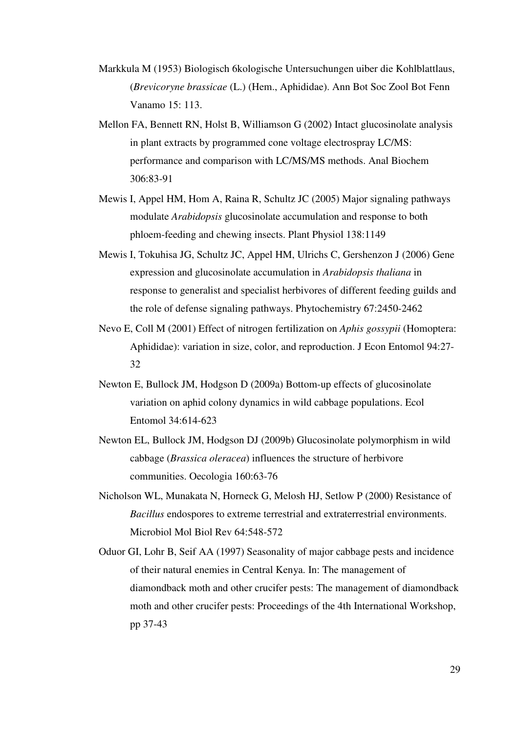- Markkula M (1953) Biologisch 6kologische Untersuchungen uiber die Kohlblattlaus, (*Brevicoryne brassicae* (L.) (Hem., Aphididae). Ann Bot Soc Zool Bot Fenn Vanamo 15: 113.
- Mellon FA, Bennett RN, Holst B, Williamson G (2002) Intact glucosinolate analysis in plant extracts by programmed cone voltage electrospray LC/MS: performance and comparison with LC/MS/MS methods. Anal Biochem 306:83-91
- Mewis I, Appel HM, Hom A, Raina R, Schultz JC (2005) Major signaling pathways modulate *Arabidopsis* glucosinolate accumulation and response to both phloem-feeding and chewing insects. Plant Physiol 138:1149
- Mewis I, Tokuhisa JG, Schultz JC, Appel HM, Ulrichs C, Gershenzon J (2006) Gene expression and glucosinolate accumulation in *Arabidopsis thaliana* in response to generalist and specialist herbivores of different feeding guilds and the role of defense signaling pathways. Phytochemistry 67:2450-2462
- Nevo E, Coll M (2001) Effect of nitrogen fertilization on *Aphis gossypii* (Homoptera: Aphididae): variation in size, color, and reproduction. J Econ Entomol 94:27- 32
- Newton E, Bullock JM, Hodgson D (2009a) Bottom-up effects of glucosinolate variation on aphid colony dynamics in wild cabbage populations. Ecol Entomol 34:614-623
- Newton EL, Bullock JM, Hodgson DJ (2009b) Glucosinolate polymorphism in wild cabbage (*Brassica oleracea*) influences the structure of herbivore communities. Oecologia 160:63-76
- Nicholson WL, Munakata N, Horneck G, Melosh HJ, Setlow P (2000) Resistance of *Bacillus* endospores to extreme terrestrial and extraterrestrial environments. Microbiol Mol Biol Rev 64:548-572
- Oduor GI, Lohr B, Seif AA (1997) Seasonality of major cabbage pests and incidence of their natural enemies in Central Kenya. In: The management of diamondback moth and other crucifer pests: The management of diamondback moth and other crucifer pests: Proceedings of the 4th International Workshop, pp 37-43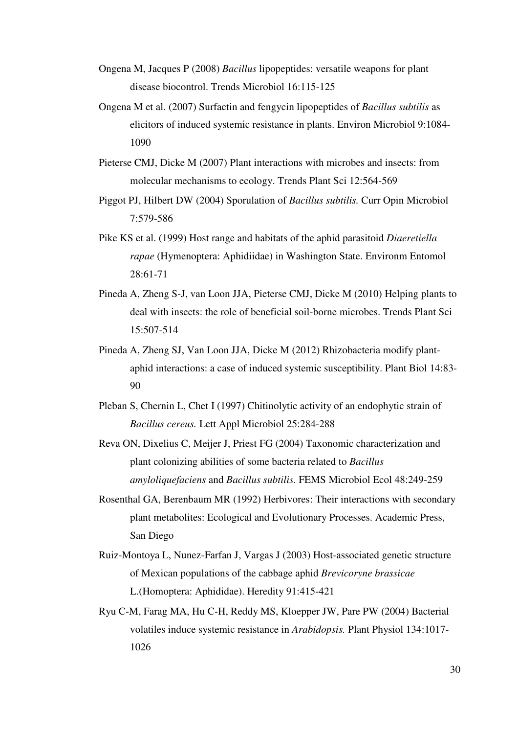- Ongena M, Jacques P (2008) *Bacillus* lipopeptides: versatile weapons for plant disease biocontrol. Trends Microbiol 16:115-125
- Ongena M et al. (2007) Surfactin and fengycin lipopeptides of *Bacillus subtilis* as elicitors of induced systemic resistance in plants. Environ Microbiol 9:1084- 1090
- Pieterse CMJ, Dicke M (2007) Plant interactions with microbes and insects: from molecular mechanisms to ecology. Trends Plant Sci 12:564-569
- Piggot PJ, Hilbert DW (2004) Sporulation of *Bacillus subtilis.* Curr Opin Microbiol 7:579-586
- Pike KS et al. (1999) Host range and habitats of the aphid parasitoid *Diaeretiella rapae* (Hymenoptera: Aphidiidae) in Washington State. Environm Entomol 28:61-71
- Pineda A, Zheng S-J, van Loon JJA, Pieterse CMJ, Dicke M (2010) Helping plants to deal with insects: the role of beneficial soil-borne microbes. Trends Plant Sci 15:507-514
- Pineda A, Zheng SJ, Van Loon JJA, Dicke M (2012) Rhizobacteria modify plantaphid interactions: a case of induced systemic susceptibility. Plant Biol 14:83- 90
- Pleban S, Chernin L, Chet I (1997) Chitinolytic activity of an endophytic strain of *Bacillus cereus.* Lett Appl Microbiol 25:284-288
- Reva ON, Dixelius C, Meijer J, Priest FG (2004) Taxonomic characterization and plant colonizing abilities of some bacteria related to *Bacillus amyloliquefaciens* and *Bacillus subtilis.* FEMS Microbiol Ecol 48:249-259
- Rosenthal GA, Berenbaum MR (1992) Herbivores: Their interactions with secondary plant metabolites: Ecological and Evolutionary Processes. Academic Press, San Diego
- Ruiz-Montoya L, Nunez-Farfan J, Vargas J (2003) Host-associated genetic structure of Mexican populations of the cabbage aphid *Brevicoryne brassicae* L.(Homoptera: Aphididae). Heredity 91:415-421
- Ryu C-M, Farag MA, Hu C-H, Reddy MS, Kloepper JW, Pare PW (2004) Bacterial volatiles induce systemic resistance in *Arabidopsis.* Plant Physiol 134:1017- 1026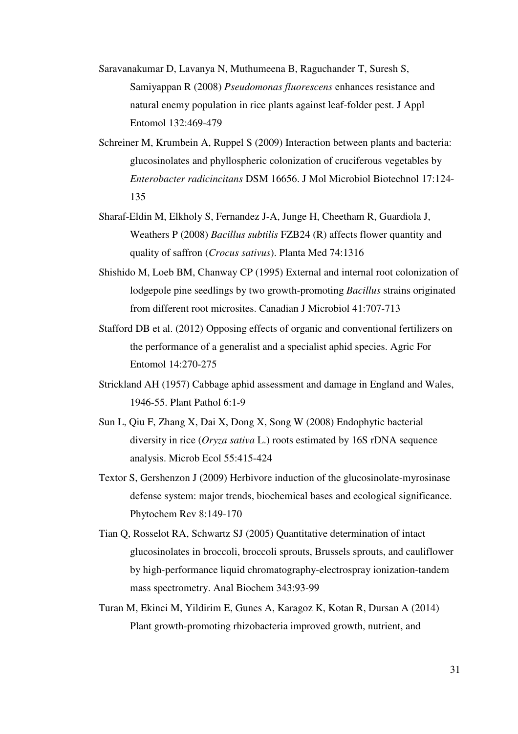- Saravanakumar D, Lavanya N, Muthumeena B, Raguchander T, Suresh S, Samiyappan R (2008) *Pseudomonas fluorescens* enhances resistance and natural enemy population in rice plants against leaf-folder pest. J Appl Entomol 132:469-479
- Schreiner M, Krumbein A, Ruppel S (2009) Interaction between plants and bacteria: glucosinolates and phyllospheric colonization of cruciferous vegetables by *Enterobacter radicincitans* DSM 16656. J Mol Microbiol Biotechnol 17:124- 135
- Sharaf-Eldin M, Elkholy S, Fernandez J-A, Junge H, Cheetham R, Guardiola J, Weathers P (2008) *Bacillus subtilis* FZB24 (R) affects flower quantity and quality of saffron (*Crocus sativus*). Planta Med 74:1316
- Shishido M, Loeb BM, Chanway CP (1995) External and internal root colonization of lodgepole pine seedlings by two growth-promoting *Bacillus* strains originated from different root microsites. Canadian J Microbiol 41:707-713
- Stafford DB et al. (2012) Opposing effects of organic and conventional fertilizers on the performance of a generalist and a specialist aphid species. Agric For Entomol 14:270-275
- Strickland AH (1957) Cabbage aphid assessment and damage in England and Wales, 1946-55. Plant Pathol 6:1-9
- Sun L, Qiu F, Zhang X, Dai X, Dong X, Song W (2008) Endophytic bacterial diversity in rice (*Oryza sativa* L.) roots estimated by 16S rDNA sequence analysis. Microb Ecol 55:415-424
- Textor S, Gershenzon J (2009) Herbivore induction of the glucosinolate-myrosinase defense system: major trends, biochemical bases and ecological significance. Phytochem Rev 8:149-170
- Tian Q, Rosselot RA, Schwartz SJ (2005) Quantitative determination of intact glucosinolates in broccoli, broccoli sprouts, Brussels sprouts, and cauliflower by high-performance liquid chromatography-electrospray ionization-tandem mass spectrometry. Anal Biochem 343:93-99
- Turan M, Ekinci M, Yildirim E, Gunes A, Karagoz K, Kotan R, Dursan A (2014) Plant growth-promoting rhizobacteria improved growth, nutrient, and